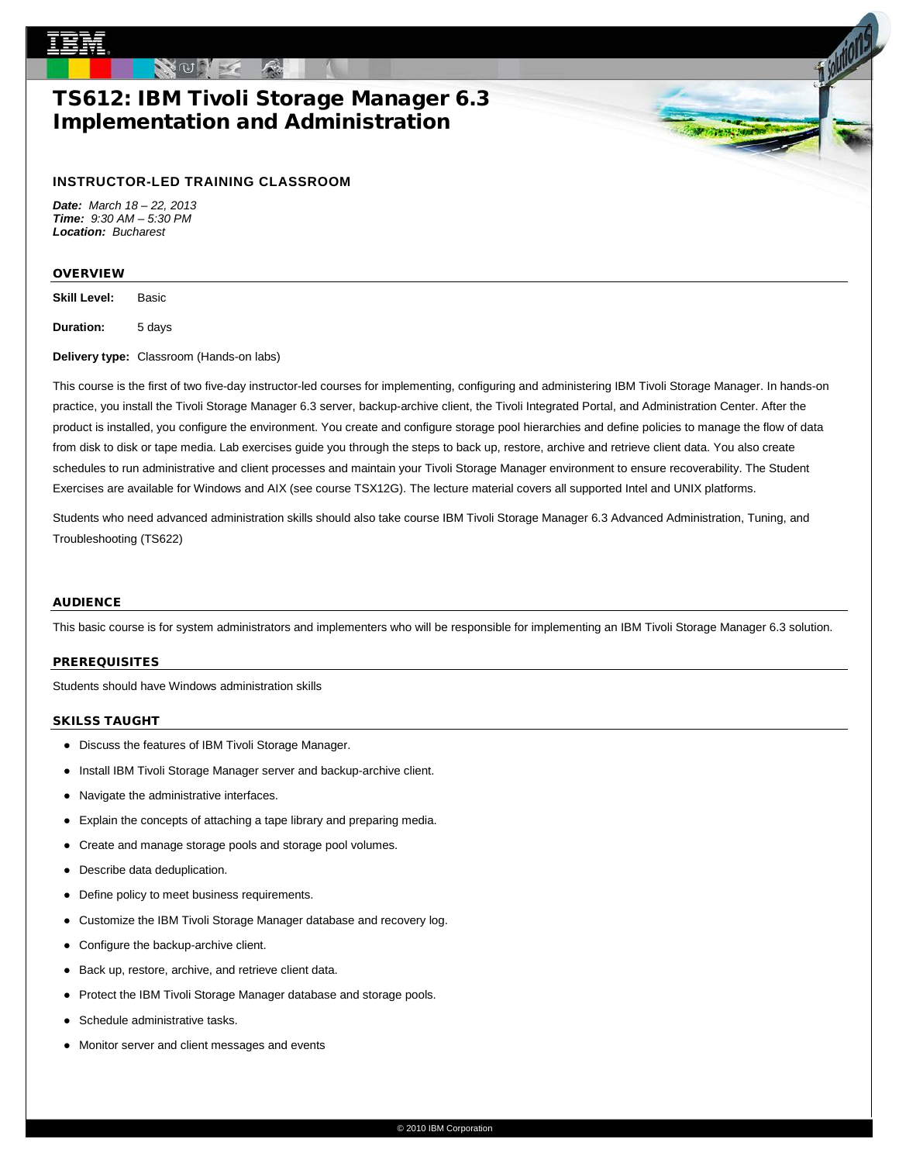# TS612: IBM Tivoli Storage Manager 6.3 Implementation and Administration

# **INSTRUCTOR-LED TRAINING CLASSROOM**

*Date: March 18 – 22, 2013 Time: 9:30 AM – 5:30 PM Location: Bucharest*

# OVERVIEW

**Skill Level:** Basic

**Duration:** 5 days

**Delivery type:** Classroom (Hands-on labs)

This course is the first of two five-day instructor-led courses for implementing, configuring and administering IBM Tivoli Storage Manager. In hands-on practice, you install the Tivoli Storage Manager 6.3 server, backup-archive client, the Tivoli Integrated Portal, and Administration Center. After the product is installed, you configure the environment. You create and configure storage pool hierarchies and define policies to manage the flow of data from disk to disk or tape media. Lab exercises guide you through the steps to back up, restore, archive and retrieve client data. You also create schedules to run administrative and client processes and maintain your Tivoli Storage Manager environment to ensure recoverability. The Student Exercises are available for Windows and AIX (see course TSX12G). The lecture material covers all supported Intel and UNIX platforms.

Students who need advanced administration skills should also take course IBM Tivoli Storage Manager 6.3 Advanced Administration, Tuning, and Troubleshooting (TS622)

## AUDIENCE

This basic course is for system administrators and implementers who will be responsible for implementing an IBM Tivoli Storage Manager 6.3 solution.

#### PREREQUISITES

Students should have Windows administration skills

## SKILSS TAUGHT

- Discuss the features of IBM Tivoli Storage Manager.
- Install IBM Tivoli Storage Manager server and backup-archive client.
- Navigate the administrative interfaces.
- Explain the concepts of attaching a tape library and preparing media.
- Create and manage storage pools and storage pool volumes.
- Describe data deduplication.
- Define policy to meet business requirements.
- Customize the IBM Tivoli Storage Manager database and recovery log.
- Configure the backup-archive client.
- Back up, restore, archive, and retrieve client data.
- Protect the IBM Tivoli Storage Manager database and storage pools.
- Schedule administrative tasks.
- Monitor server and client messages and events